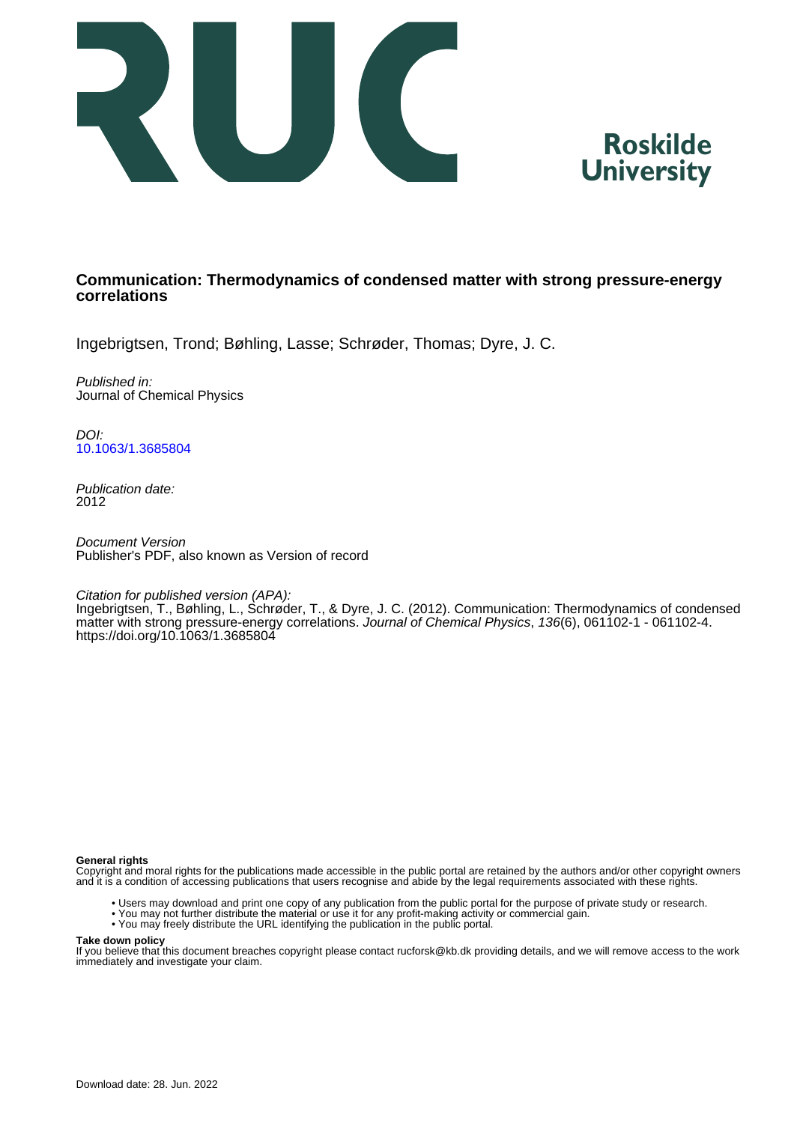



## **Communication: Thermodynamics of condensed matter with strong pressure-energy correlations**

Ingebrigtsen, Trond; Bøhling, Lasse; Schrøder, Thomas; Dyre, J. C.

Published in: Journal of Chemical Physics

DOI: [10.1063/1.3685804](https://doi.org/10.1063/1.3685804)

Publication date: 2012

Document Version Publisher's PDF, also known as Version of record

Citation for published version (APA):

Ingebrigtsen, T., Bøhling, L., Schrøder, T., & Dyre, J. C. (2012). Communication: Thermodynamics of condensed matter with strong pressure-energy correlations. Journal of Chemical Physics, 136(6), 061102-1 - 061102-4. <https://doi.org/10.1063/1.3685804>

## **General rights**

Copyright and moral rights for the publications made accessible in the public portal are retained by the authors and/or other copyright owners and it is a condition of accessing publications that users recognise and abide by the legal requirements associated with these rights.

- Users may download and print one copy of any publication from the public portal for the purpose of private study or research.
- You may not further distribute the material or use it for any profit-making activity or commercial gain.
- You may freely distribute the URL identifying the publication in the public portal.

## **Take down policy**

If you believe that this document breaches copyright please contact rucforsk@kb.dk providing details, and we will remove access to the work immediately and investigate your claim.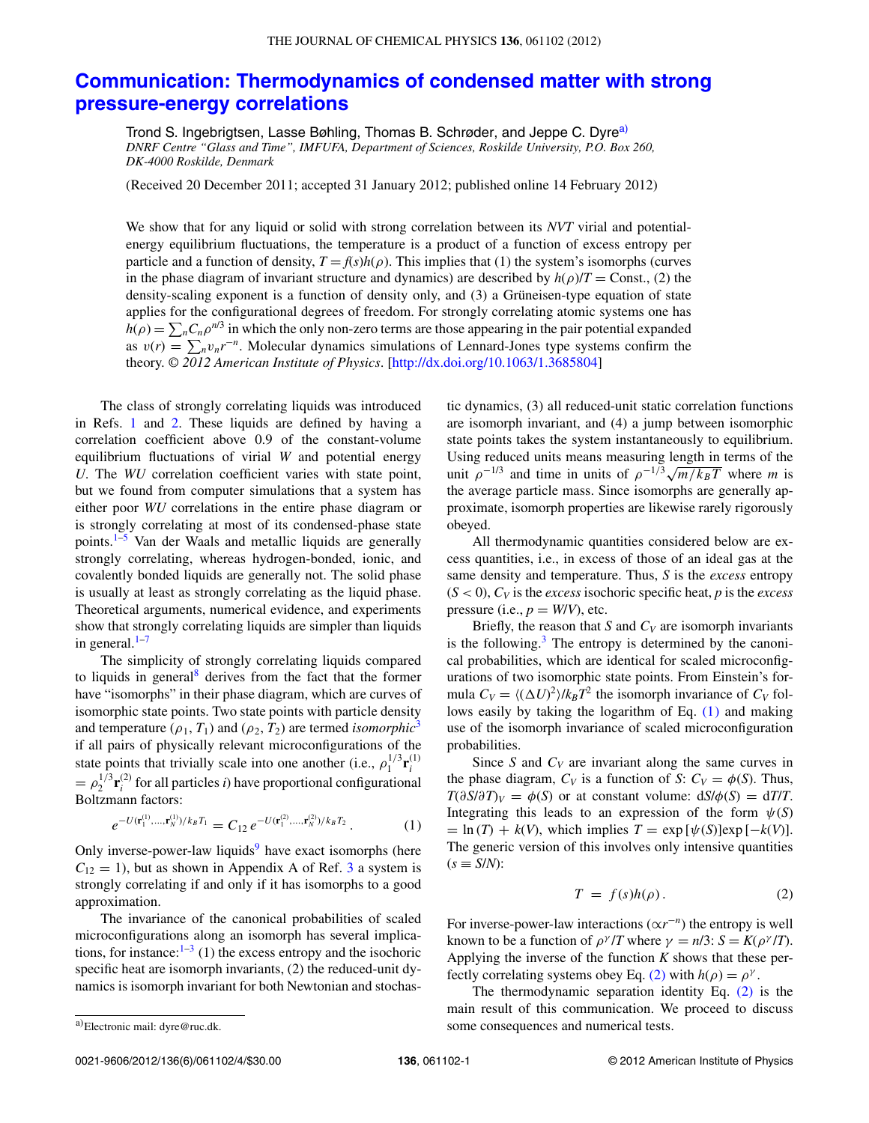## **[Communication: Thermodynamics of condensed matter with strong](http://dx.doi.org/10.1063/1.3685804) [pressure-energy correlations](http://dx.doi.org/10.1063/1.3685804)**

Trond S. Ingebrigtsen, Lasse Bøhling, Thomas B. Schrøder, and Jeppe C. Dyre<sup>[a\)](#page-1-0)</sup> *DNRF Centre "Glass and Time", IMFUFA, Department of Sciences, Roskilde University, P.O. Box 260, DK-4000 Roskilde, Denmark*

(Received 20 December 2011; accepted 31 January 2012; published online 14 February 2012)

We show that for any liquid or solid with strong correlation between its *NVT* virial and potentialenergy equilibrium fluctuations, the temperature is a product of a function of excess entropy per particle and a function of density,  $T = f(s)h(\rho)$ . This implies that (1) the system's isomorphs (curves in the phase diagram of invariant structure and dynamics) are described by  $h(\rho)/T = \text{Const.}$ , (2) the density-scaling exponent is a function of density only, and (3) a Grüneisen-type equation of state applies for the configurational degrees of freedom. For strongly correlating atomic systems one has  $h(\rho) = \sum_n C_n \rho^{n/3}$  in which the only non-zero terms are those appearing in the pair potential expanded as  $v(r) = \sum_{n} v_n r^{-n}$ . Molecular dynamics simulations of Lennard-Jones type systems confirm the theory. *© 2012 American Institute of Physics*. [\[http://dx.doi.org/10.1063/1.3685804\]](http://dx.doi.org/10.1063/1.3685804)

The class of strongly correlating liquids was introduced in Refs. [1](#page-3-0) and [2.](#page-4-0) These liquids are defined by having a correlation coefficient above 0.9 of the constant-volume equilibrium fluctuations of virial *W* and potential energy *U*. The *WU* correlation coefficient varies with state point, but we found from computer simulations that a system has either poor *WU* correlations in the entire phase diagram or is strongly correlating at most of its condensed-phase state points.<sup>1[–5](#page-4-1)</sup> Van der Waals and metallic liquids are generally strongly correlating, whereas hydrogen-bonded, ionic, and covalently bonded liquids are generally not. The solid phase is usually at least as strongly correlating as the liquid phase. Theoretical arguments, numerical evidence, and experiments show that strongly correlating liquids are simpler than liquids in general. $1-7$ 

The simplicity of strongly correlating liquids compared to liquids in general<sup>8</sup> derives from the fact that the former have "isomorphs" in their phase diagram, which are curves of isomorphic state points. Two state points with particle density and temperature ( $\rho_1$ ,  $T_1$ ) and ( $\rho_2$ ,  $T_2$ ) are termed *isomorphic*<sup>[3](#page-4-4)</sup> if all pairs of physically relevant microconfigurations of the state points that trivially scale into one another (i.e.,  $\rho_1^{1/3} \mathbf{r}_i^{(1)}$  $= \rho_2^{1/3} \mathbf{r}_i^{(2)}$  for all particles *i*) have proportional configurational Boltzmann factors:

<span id="page-1-1"></span>
$$
e^{-U(\mathbf{r}_1^{(1)},\ldots,\mathbf{r}_N^{(1)})/k_B T_1} = C_{12} e^{-U(\mathbf{r}_1^{(2)},\ldots,\mathbf{r}_N^{(2)})/k_B T_2}.
$$
 (1)

Only inverse-power-law liquids $9$  have exact isomorphs (here  $C_{12} = 1$ , but as shown in Appendix A of Ref. [3](#page-4-4) a system is strongly correlating if and only if it has isomorphs to a good approximation.

The invariance of the canonical probabilities of scaled microconfigurations along an isomorph has several implications, for instance:  $1-3$  $1-3$  (1) the excess entropy and the isochoric specific heat are isomorph invariants, (2) the reduced-unit dynamics is isomorph invariant for both Newtonian and stochastic dynamics, (3) all reduced-unit static correlation functions are isomorph invariant, and (4) a jump between isomorphic state points takes the system instantaneously to equilibrium. Using reduced units means measuring length in terms of the unit  $\rho^{-1/3}$  and time in units of  $\rho^{-1/3}\sqrt{m/k_BT}$  where *m* is the average particle mass. Since isomorphs are generally approximate, isomorph properties are likewise rarely rigorously obeyed.

All thermodynamic quantities considered below are excess quantities, i.e., in excess of those of an ideal gas at the same density and temperature. Thus, *S* is the *excess* entropy  $(S < 0)$ ,  $C_V$  is the *excess* isochoric specific heat, *p* is the *excess* pressure (i.e.,  $p = W/V$ ), etc.

Briefly, the reason that *S* and  $C_V$  are isomorph invariants is the following. $3$  The entropy is determined by the canonical probabilities, which are identical for scaled microconfigurations of two isomorphic state points. From Einstein's formula  $C_V = \langle (\Delta U)^2 \rangle / k_B T^2$  the isomorph invariance of  $C_V$  follows easily by taking the logarithm of Eq. [\(1\)](#page-1-1) and making use of the isomorph invariance of scaled microconfiguration probabilities.

Since *S* and  $C_V$  are invariant along the same curves in the phase diagram,  $C_V$  is a function of *S*:  $C_V = \phi(S)$ . Thus,  $T(\partial S/\partial T)_V = \phi(S)$  or at constant volume:  $dS/\phi(S) = dT/T$ . Integrating this leads to an expression of the form  $\psi(S)$  $I = \ln(T) + k(V)$ , which implies  $T = \exp[\psi(S)]\exp[-k(V)]$ . The generic version of this involves only intensive quantities  $(s \equiv S/N)$ :

<span id="page-1-2"></span>
$$
T = f(s)h(\rho).
$$
 (2)

For inverse-power-law interactions  $(\alpha r^{-n})$  the entropy is well known to be a function of  $\rho^{\gamma}/T$  where  $\gamma = n/3$ :  $S = K(\rho^{\gamma}/T)$ . Applying the inverse of the function *K* shows that these per-fectly correlating systems obey Eq. [\(2\)](#page-1-2) with  $h(\rho) = \rho^{\gamma}$ .

The thermodynamic separation identity Eq. [\(2\)](#page-1-2) is the main result of this communication. We proceed to discuss some consequences and numerical tests.

<span id="page-1-0"></span>a)Electronic mail: [dyre@ruc.dk.](mailto: dyre@ruc.dk)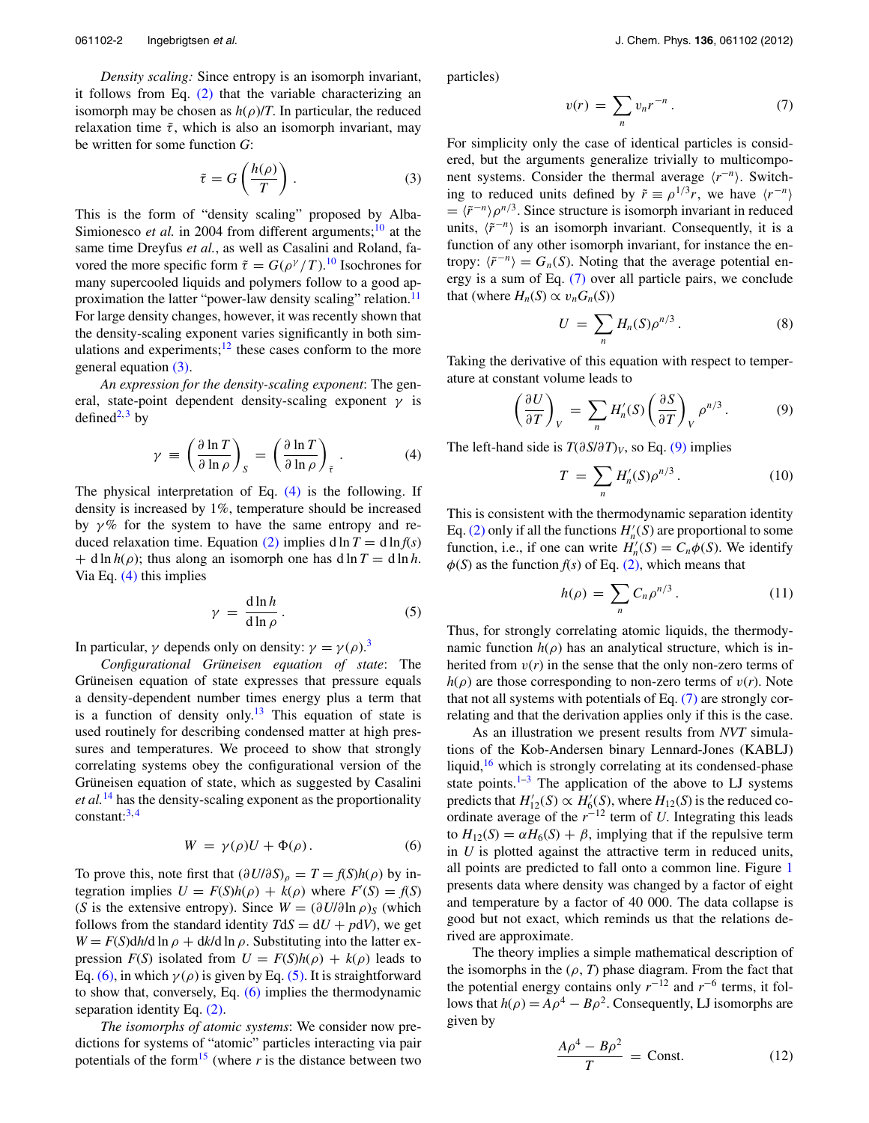*Density scaling:* Since entropy is an isomorph invariant, it follows from Eq.  $(2)$  that the variable characterizing an isomorph may be chosen as  $h(\rho)/T$ . In particular, the reduced relaxation time  $\tilde{\tau}$ , which is also an isomorph invariant, may be written for some function *G*:

<span id="page-2-0"></span>
$$
\tilde{\tau} = G\left(\frac{h(\rho)}{T}\right). \tag{3}
$$

This is the form of "density scaling" proposed by Alba-Simionesco *et al.* in 2004 from different arguments;<sup>[10](#page-4-6)</sup> at the same time Dreyfus *et al.*, as well as Casalini and Roland, favored the more specific form  $\tilde{\tau} = G(\rho^{\gamma}/T)$ .<sup>[10](#page-4-6)</sup> Isochrones for many supercooled liquids and polymers follow to a good approximation the latter "power-law density scaling" relation.<sup>11</sup> For large density changes, however, it was recently shown that the density-scaling exponent varies significantly in both simulations and experiments; $12$  these cases conform to the more general equation [\(3\).](#page-2-0)

*An expression for the density-scaling exponent*: The general, state-point dependent density-scaling exponent *γ* is defined<sup>2, [3](#page-4-4)</sup> by

<span id="page-2-1"></span>
$$
\gamma \equiv \left(\frac{\partial \ln T}{\partial \ln \rho}\right)_{S} = \left(\frac{\partial \ln T}{\partial \ln \rho}\right)_{\tilde{\tau}}.
$$
 (4)

The physical interpretation of Eq. [\(4\)](#page-2-1) is the following. If density is increased by 1%, temperature should be increased by  $\gamma$ % for the system to have the same entropy and re-duced relaxation time. Equation [\(2\)](#page-1-2) implies d ln  $T = d \ln f(s)$  $+$  d ln  $h(\rho)$ ; thus along an isomorph one has d ln  $T =$  d ln  $h$ . Via Eq.  $(4)$  this implies

<span id="page-2-3"></span>
$$
\gamma = \frac{\mathrm{d}\ln h}{\mathrm{d}\ln \rho}.
$$
 (5)

In particular,  $\gamma$  depends only on density:  $\gamma = \gamma(\rho)$ .<sup>[3](#page-4-4)</sup>

*Configurational Grüneisen equation of state*: The Grüneisen equation of state expresses that pressure equals a density-dependent number times energy plus a term that is a function of density only.<sup>13</sup> This equation of state is used routinely for describing condensed matter at high pressures and temperatures. We proceed to show that strongly correlating systems obey the configurational version of the Grüneisen equation of state, which as suggested by Casalini *et al.*[14](#page-4-10) has the density-scaling exponent as the proportionality  $constant: <sup>3,4</sup>$  $constant: <sup>3,4</sup>$  $constant: <sup>3,4</sup>$  $constant: <sup>3,4</sup>$ 

<span id="page-2-2"></span>
$$
W = \gamma(\rho)U + \Phi(\rho). \tag{6}
$$

To prove this, note first that  $(\partial U/\partial S)_{\rho} = T = f(S)h(\rho)$  by integration implies  $U = F(S)h(\rho) + k(\rho)$  where  $F'(S) = f(S)$ (*S* is the extensive entropy). Since  $W = (\partial U/\partial \ln \rho)_S$  (which follows from the standard identity  $T dS = dU + p dV$ , we get  $W = F(S) \frac{dh}{d \ln \rho} + \frac{dk}{d \ln \rho}$ . Substituting into the latter expression  $F(S)$  isolated from  $U = F(S)h(\rho) + k(\rho)$  leads to Eq. [\(6\),](#page-2-2) in which  $\gamma(\rho)$  is given by Eq. [\(5\).](#page-2-3) It is straightforward to show that, conversely, Eq. [\(6\)](#page-2-2) implies the thermodynamic separation identity Eq. [\(2\).](#page-1-2)

*The isomorphs of atomic systems*: We consider now predictions for systems of "atomic" particles interacting via pair potentials of the form<sup>15</sup> (where  $r$  is the distance between two particles)

<span id="page-2-4"></span>
$$
v(r) = \sum_{n} v_n r^{-n} . \tag{7}
$$

For simplicity only the case of identical particles is considered, but the arguments generalize trivially to multicomponent systems. Consider the thermal average  $\langle r^{-n} \rangle$ . Switching to reduced units defined by  $\tilde{r} \equiv \rho^{1/3} r$ , we have  $\langle r^{-n} \rangle$  $= \langle \tilde{r}^{-n} \rangle \rho^{n/3}$ . Since structure is isomorph invariant in reduced units,  $\langle \tilde{r}^{-n} \rangle$  is an isomorph invariant. Consequently, it is a function of any other isomorph invariant, for instance the entropy:  $\langle \tilde{r}^{-n} \rangle = G_n(S)$ . Noting that the average potential energy is a sum of Eq. [\(7\)](#page-2-4) over all particle pairs, we conclude that (where  $H_n(S) \propto v_n G_n(S)$ )

<span id="page-2-6"></span>
$$
U = \sum_{n} H_n(S) \rho^{n/3}.
$$
 (8)

Taking the derivative of this equation with respect to temperature at constant volume leads to

<span id="page-2-5"></span>
$$
\left(\frac{\partial U}{\partial T}\right)_V = \sum_n H'_n(S) \left(\frac{\partial S}{\partial T}\right)_V \rho^{n/3}.
$$
 (9)

The left-hand side is *T*(*∂S*/*∂T*)*V*, so Eq. [\(9\)](#page-2-5) implies

$$
T = \sum_{n} H'_n(S)\rho^{n/3}.
$$
 (10)

This is consistent with the thermodynamic separation identity Eq. [\(2\)](#page-1-2) only if all the functions  $H_n'(S)$  are proportional to some function, i.e., if one can write  $H'_n(S) = C_n \phi(S)$ . We identify  $\phi(S)$  as the function  $f(s)$  of Eq. [\(2\),](#page-1-2) which means that

$$
h(\rho) = \sum_{n} C_n \rho^{n/3} \,. \tag{11}
$$

Thus, for strongly correlating atomic liquids, the thermodynamic function  $h(\rho)$  has an analytical structure, which is inherited from  $v(r)$  in the sense that the only non-zero terms of  $h(\rho)$  are those corresponding to non-zero terms of  $v(r)$ . Note that not all systems with potentials of Eq. [\(7\)](#page-2-4) are strongly correlating and that the derivation applies only if this is the case.

As an illustration we present results from *NVT* simulations of the Kob-Andersen binary Lennard-Jones (KABLJ) liquid, $16$  which is strongly correlating at its condensed-phase state points. $1-3$  $1-3$  The application of the above to LJ systems predicts that  $H'_{12}(S) \propto H'_{6}(S)$ , where  $H_{12}(S)$  is the reduced coordinate average of the *r*−<sup>12</sup> term of *U*. Integrating this leads to  $H_{12}(S) = \alpha H_6(S) + \beta$ , implying that if the repulsive term in *U* is plotted against the attractive term in reduced units, all points are predicted to fall onto a common line. Figure [1](#page-3-1) presents data where density was changed by a factor of eight and temperature by a factor of 40 000. The data collapse is good but not exact, which reminds us that the relations derived are approximate.

The theory implies a simple mathematical description of the isomorphs in the  $(\rho, T)$  phase diagram. From the fact that the potential energy contains only *r*−<sup>12</sup> and *r*−<sup>6</sup> terms, it follows that  $h(\rho) = A\rho^4 - B\rho^2$ . Consequently, LJ isomorphs are given by

<span id="page-2-7"></span>
$$
\frac{A\rho^4 - B\rho^2}{T} = \text{Const.}
$$
 (12)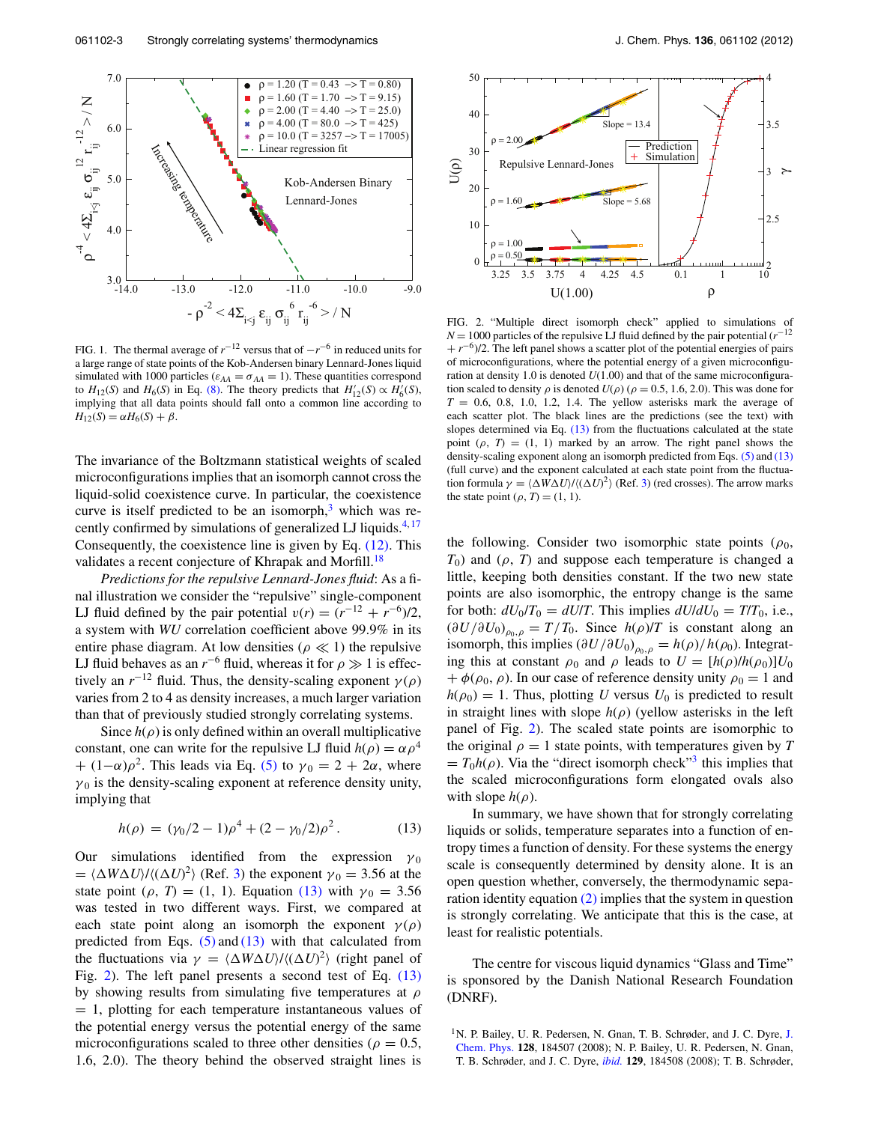<span id="page-3-1"></span>

FIG. 1. The thermal average of  $r^{-12}$  versus that of  $-r^{-6}$  in reduced units for a large range of state points of the Kob-Andersen binary Lennard-Jones liquid simulated with 1000 particles ( $\varepsilon_{AA} = \sigma_{AA} = 1$ ). These quantities correspond to  $H_{12}(S)$  and  $H_6(S)$  in Eq. [\(8\).](#page-2-6) The theory predicts that  $H'_{12}(S) \propto H'_6(S)$ , implying that all data points should fall onto a common line according to  $H_{12}(S) = \alpha H_6(S) + \beta.$ 

The invariance of the Boltzmann statistical weights of scaled microconfigurations implies that an isomorph cannot cross the liquid-solid coexistence curve. In particular, the coexistence curve is itself predicted to be an isomorph, $3$  which was recently confirmed by simulations of generalized LJ liquids. $4,17$  $4,17$ Consequently, the coexistence line is given by Eq. [\(12\).](#page-2-7) This validates a recent conjecture of Khrapak and Morfill.<sup>[18](#page-4-15)</sup>

*Predictions for the repulsive Lennard-Jones fluid*: As a final illustration we consider the "repulsive" single-component LJ fluid defined by the pair potential  $v(r) = (r^{-12} + r^{-6})/2$ , a system with *WU* correlation coefficient above 99.9% in its entire phase diagram. At low densities ( $\rho \ll 1$ ) the repulsive LJ fluid behaves as an  $r^{-6}$  fluid, whereas it for  $\rho \gg 1$  is effectively an  $r^{-12}$  fluid. Thus, the density-scaling exponent  $\gamma(\rho)$ varies from 2 to 4 as density increases, a much larger variation than that of previously studied strongly correlating systems.

Since  $h(\rho)$  is only defined within an overall multiplicative constant, one can write for the repulsive LJ fluid  $h(\rho) = \alpha \rho^4$  $+(1-\alpha)\rho^2$ . This leads via Eq. [\(5\)](#page-2-3) to  $\gamma_0 = 2 + 2\alpha$ , where  $\gamma_0$  is the density-scaling exponent at reference density unity, implying that

<span id="page-3-2"></span>
$$
h(\rho) = (\gamma_0/2 - 1)\rho^4 + (2 - \gamma_0/2)\rho^2. \tag{13}
$$

Our simulations identified from the expression  $\gamma_0$  $= \langle \Delta W \Delta U \rangle / \langle (\Delta U)^2 \rangle$  (Ref. [3\)](#page-4-4) the exponent  $\gamma_0 = 3.56$  at the state point ( $\rho$ , *T*) = (1, 1). Equation [\(13\)](#page-3-2) with  $\gamma_0 = 3.56$ was tested in two different ways. First, we compared at each state point along an isomorph the exponent  $\gamma(\rho)$ predicted from Eqs.  $(5)$  and  $(13)$  with that calculated from the fluctuations via  $\gamma = \langle \Delta W \Delta U \rangle / \langle (\Delta U)^2 \rangle$  (right panel of Fig. [2\)](#page-3-3). The left panel presents a second test of Eq. [\(13\)](#page-3-2) by showing results from simulating five temperatures at *ρ* = 1, plotting for each temperature instantaneous values of the potential energy versus the potential energy of the same microconfigurations scaled to three other densities ( $\rho = 0.5$ , 1.6, 2.0). The theory behind the observed straight lines is

<span id="page-3-3"></span>

FIG. 2. "Multiple direct isomorph check" applied to simulations of *N* = 1000 particles of the repulsive LJ fluid defined by the pair potential ( $r^{-12}$ ) + *r*<sup>−6</sup>)/2. The left panel shows a scatter plot of the potential energies of pairs of microconfigurations, where the potential energy of a given microconfiguration at density 1.0 is denoted  $U(1.00)$  and that of the same microconfiguration scaled to density  $\rho$  is denoted  $U(\rho)$  ( $\rho = 0.5, 1.6, 2.0$ ). This was done for  $T = 0.6, 0.8, 1.0, 1.2, 1.4$ . The yellow asterisks mark the average of each scatter plot. The black lines are the predictions (see the text) with slopes determined via Eq.  $(13)$  from the fluctuations calculated at the state point  $(\rho, T) = (1, 1)$  marked by an arrow. The right panel shows the density-scaling exponent along an isomorph predicted from Eqs. [\(5\)](#page-2-3) and [\(13\)](#page-3-2) (full curve) and the exponent calculated at each state point from the fluctuation formula  $\gamma = \langle \Delta W \Delta U \rangle / \langle (\Delta U)^2 \rangle$  (Ref. [3\)](#page-4-4) (red crosses). The arrow marks the state point  $(\rho, T) = (1, 1)$ .

the following. Consider two isomorphic state points  $(\rho_0,$  $T_0$ ) and ( $\rho$ , *T*) and suppose each temperature is changed a little, keeping both densities constant. If the two new state points are also isomorphic, the entropy change is the same for both:  $dU_0/T_0 = dU/T$ . This implies  $dU/dU_0 = T/T_0$ , i.e.,  $(\partial U/\partial U_0)_{\rho_0,\rho} = T/T_0$ . Since  $h(\rho)/T$  is constant along an isomorph, this implies  $\left(\frac{\partial U}{\partial U_0}\right)_{\rho_0,\rho} = h(\rho)/h(\rho_0)$ . Integrating this at constant  $\rho_0$  and  $\rho$  leads to  $U = [h(\rho)/h(\rho_0)]U_0$  $+ \phi(\rho_0, \rho)$ . In our case of reference density unity  $\rho_0 = 1$  and  $h(\rho_0) = 1$ . Thus, plotting *U* versus  $U_0$  is predicted to result in straight lines with slope  $h(\rho)$  (yellow asterisks in the left panel of Fig. [2\)](#page-3-3). The scaled state points are isomorphic to the original  $\rho = 1$  state points, with temperatures given by *T*  $= T_0 h(\rho)$ . Via the "direct isomorph check"<sup>3</sup> this implies that the scaled microconfigurations form elongated ovals also with slope  $h(\rho)$ .

In summary, we have shown that for strongly correlating liquids or solids, temperature separates into a function of entropy times a function of density. For these systems the energy scale is consequently determined by density alone. It is an open question whether, conversely, the thermodynamic separation identity equation [\(2\)](#page-1-2) implies that the system in question is strongly correlating. We anticipate that this is the case, at least for realistic potentials.

The centre for viscous liquid dynamics "Glass and Time" is sponsored by the Danish National Research Foundation (DNRF).

<span id="page-3-0"></span><sup>&</sup>lt;sup>1</sup>N. P. Bailey, U. R. Pedersen, N. Gnan, T. B. Schrøder, and [J.](http://dx.doi.org/10.1063/1.2982247) C. Dyre, J. [Chem. Phys.](http://dx.doi.org/10.1063/1.2982247) **128**, 184507 (2008); N. P. Bailey, U. R. Pedersen, N. Gnan, T. B. Schrøder, and J. C. Dyre, *[ibid.](http://dx.doi.org/10.1063/1.2982249)* **129**, 184508 (2008); T. B. Schrøder,